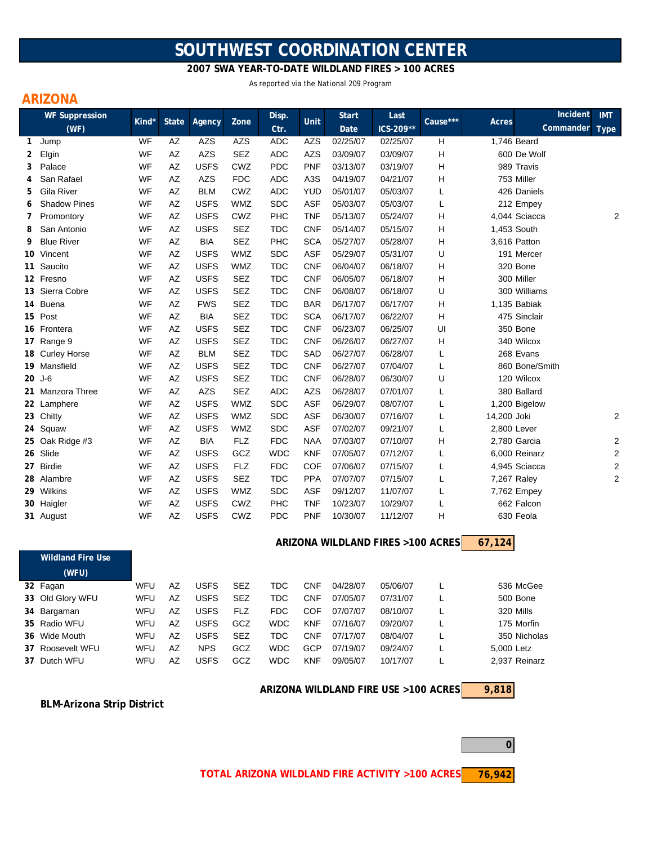# **SOUTHWEST COORDINATION CENTER**

### **2007 SWA YEAR-TO-DATE WILDLAND FIRES > 100 ACRES**

As reported via the National 209 Program

# **ARIZONA**

|              | <b>WF Suppression</b>    | Kind* | <b>State</b> | Agency      | Zone       | Disp.      | <b>Unit</b>      | <b>Start</b> | Last<br>ICS-209**                 | Cause*** | Incident<br>Acres<br>Commander Type | <b>IMT</b>     |
|--------------|--------------------------|-------|--------------|-------------|------------|------------|------------------|--------------|-----------------------------------|----------|-------------------------------------|----------------|
|              | (WF)                     |       |              |             |            | Ctr.       |                  | Date         |                                   |          |                                     |                |
| $\mathbf{1}$ | Jump                     | WF    | AZ           | AZS         | <b>AZS</b> | <b>ADC</b> | <b>AZS</b>       | 02/25/07     | 02/25/07                          | H        | 1,746 Beard                         |                |
| 2            | Elgin                    | WF    | AZ           | <b>AZS</b>  | <b>SEZ</b> | <b>ADC</b> | <b>AZS</b>       | 03/09/07     | 03/09/07                          | H        | 600 De Wolf                         |                |
| 3            | Palace                   | WF    | AZ           | <b>USFS</b> | CWZ        | <b>PDC</b> | <b>PNF</b>       | 03/13/07     | 03/19/07                          | H        | 989 Travis                          |                |
| 4            | San Rafael               | WF    | AZ           | AZS         | <b>FDC</b> | <b>ADC</b> | A <sub>3</sub> S | 04/19/07     | 04/21/07                          | н        | 753 Miller                          |                |
| 5            | Gila River               | WF    | AZ           | <b>BLM</b>  | CWZ        | <b>ADC</b> | <b>YUD</b>       | 05/01/07     | 05/03/07                          | L        | 426 Daniels                         |                |
| 6            | <b>Shadow Pines</b>      | WF    | AZ           | <b>USFS</b> | <b>WMZ</b> | <b>SDC</b> | ASF              | 05/03/07     | 05/03/07                          | L        | 212 Empey                           |                |
| 7            | Promontory               | WF    | AZ           | <b>USFS</b> | CWZ        | PHC        | <b>TNF</b>       | 05/13/07     | 05/24/07                          | H        | 4,044 Sciacca                       | 2              |
| 8            | San Antonio              | WF    | AZ           | <b>USFS</b> | <b>SEZ</b> | <b>TDC</b> | <b>CNF</b>       | 05/14/07     | 05/15/07                          | H        | 1,453 South                         |                |
| 9            | <b>Blue River</b>        | WF    | AZ           | <b>BIA</b>  | <b>SEZ</b> | PHC        | <b>SCA</b>       | 05/27/07     | 05/28/07                          | H        | 3,616 Patton                        |                |
|              | 10 Vincent               | WF    | AZ           | <b>USFS</b> | <b>WMZ</b> | <b>SDC</b> | <b>ASF</b>       | 05/29/07     | 05/31/07                          | U        | 191 Mercer                          |                |
|              | 11 Saucito               | WF    | AZ           | <b>USFS</b> | <b>WMZ</b> | <b>TDC</b> | <b>CNF</b>       | 06/04/07     | 06/18/07                          | н        | 320 Bone                            |                |
|              | 12 Fresno                | WF    | AZ           | <b>USFS</b> | <b>SEZ</b> | <b>TDC</b> | <b>CNF</b>       | 06/05/07     | 06/18/07                          | н        | 300 Miller                          |                |
|              | 13 Sierra Cobre          | WF    | AZ           | <b>USFS</b> | <b>SEZ</b> | <b>TDC</b> | <b>CNF</b>       | 06/08/07     | 06/18/07                          | U        | 300 Williams                        |                |
|              | 14 Buena                 | WF    | AZ           | <b>FWS</b>  | <b>SEZ</b> | <b>TDC</b> | <b>BAR</b>       | 06/17/07     | 06/17/07                          | H        | 1,135 Babiak                        |                |
|              | 15 Post                  | WF    | AZ           | <b>BIA</b>  | <b>SEZ</b> | <b>TDC</b> | <b>SCA</b>       | 06/17/07     | 06/22/07                          | H        | 475 Sinclair                        |                |
|              | 16 Frontera              | WF    | AZ           | <b>USFS</b> | <b>SEZ</b> | <b>TDC</b> | <b>CNF</b>       | 06/23/07     | 06/25/07                          | UI       | 350 Bone                            |                |
|              | 17 Range 9               | WF    | AZ           | <b>USFS</b> | <b>SEZ</b> | <b>TDC</b> | <b>CNF</b>       | 06/26/07     | 06/27/07                          | н        | 340 Wilcox                          |                |
|              | 18 Curley Horse          | WF    | AZ           | <b>BLM</b>  | <b>SEZ</b> | <b>TDC</b> | SAD              | 06/27/07     | 06/28/07                          | L        | 268 Evans                           |                |
|              | 19 Mansfield             | WF    | AZ           | <b>USFS</b> | <b>SEZ</b> | <b>TDC</b> | <b>CNF</b>       | 06/27/07     | 07/04/07                          | L        | 860 Bone/Smith                      |                |
|              | 20 J-6                   | WF    | AZ           | <b>USFS</b> | <b>SEZ</b> | <b>TDC</b> | <b>CNF</b>       | 06/28/07     | 06/30/07                          | U        | 120 Wilcox                          |                |
|              | 21 Manzora Three         | WF    | AZ           | AZS         | <b>SEZ</b> | <b>ADC</b> | <b>AZS</b>       | 06/28/07     | 07/01/07                          | L        | 380 Ballard                         |                |
|              | 22 Lamphere              | WF    | AZ           | <b>USFS</b> | <b>WMZ</b> | SDC        | <b>ASF</b>       | 06/29/07     | 08/07/07                          | L        | 1,200 Bigelow                       |                |
|              | 23 Chitty                | WF    | AZ           | <b>USFS</b> | <b>WMZ</b> | <b>SDC</b> | <b>ASF</b>       | 06/30/07     | 07/16/07                          | L        | 14,200 Joki                         | 2              |
|              | 24 Squaw                 | WF    | AZ           | <b>USFS</b> | <b>WMZ</b> | <b>SDC</b> | <b>ASF</b>       | 07/02/07     | 09/21/07                          | L        | 2,800 Lever                         |                |
|              | 25 Oak Ridge #3          | WF    | AZ           | <b>BIA</b>  | <b>FLZ</b> | <b>FDC</b> | <b>NAA</b>       | 07/03/07     | 07/10/07                          | н        | 2,780 Garcia                        | $\overline{c}$ |
|              | 26 Slide                 | WF    | AZ           | <b>USFS</b> | GCZ        | <b>WDC</b> | <b>KNF</b>       | 07/05/07     | 07/12/07                          | L        | 6,000 Reinarz                       | $\overline{c}$ |
|              | 27 Birdie                | WF    | AZ           | <b>USFS</b> | <b>FLZ</b> | <b>FDC</b> | COF              | 07/06/07     | 07/15/07                          | L        | 4,945 Sciacca                       | 2              |
|              | 28 Alambre               | WF    | AZ           | <b>USFS</b> | SEZ        | <b>TDC</b> | <b>PPA</b>       | 07/07/07     | 07/15/07                          | L        | 7,267 Raley                         | $\overline{2}$ |
|              | 29 Wilkins               | WF    | AZ           | <b>USFS</b> | <b>WMZ</b> | <b>SDC</b> | ASF              | 09/12/07     | 11/07/07                          | L        | 7,762 Empey                         |                |
|              | 30 Haigler               | WF    | AZ           | <b>USFS</b> | CWZ        | PHC        | <b>TNF</b>       | 10/23/07     | 10/29/07                          | L        | 662 Falcon                          |                |
|              | 31 August                | WF    | AZ           | <b>USFS</b> | CWZ        | <b>PDC</b> | <b>PNF</b>       | 10/30/07     | 11/12/07                          | н        | 630 Feola                           |                |
|              | <b>Wildland Fire Use</b> |       |              |             |            |            |                  |              | ARIZONA WILDLAND FIRES >100 ACRES |          | 67,124                              |                |
|              |                          |       |              |             |            |            |                  |              |                                   |          |                                     |                |
|              | (MFI)                    |       |              |             |            |            |                  |              |                                   |          |                                     |                |

| . <i>.</i>       |     |    |             |            |            |            |          |          |               |
|------------------|-----|----|-------------|------------|------------|------------|----------|----------|---------------|
| 32 Fagan         | WFU | A7 | <b>USFS</b> | <b>SEZ</b> | TDC        | <b>CNF</b> | 04/28/07 | 05/06/07 | 536 McGee     |
| 33 Old Glory WFU | WFU | A7 | USFS        | <b>SEZ</b> | TDC        | <b>CNF</b> | 07/05/07 | 07/31/07 | 500 Bone      |
| 34 Bargaman      | WFU | A7 | USFS        | <b>FLZ</b> | FDC        | COF        | 07/07/07 | 08/10/07 | 320 Mills     |
| 35 Radio WFU     | WFU | A7 | USFS        | GCZ        | <b>WDC</b> | <b>KNF</b> | 07/16/07 | 09/20/07 | 175 Morfin    |
| 36 Wide Mouth    | WFU | A7 | USFS        | <b>SEZ</b> | TDC        | <b>CNF</b> | 07/17/07 | 08/04/07 | 350 Nicholas  |
| 37 Roosevelt WFU | WFU | A7 | <b>NPS</b>  | GCZ        | <b>WDC</b> | GCP        | 07/19/07 | 09/24/07 | 5.000 Letz    |
| 37 Dutch WFU     | WFU | A7 | USFS        | GCZ        | <b>WDC</b> | <b>KNF</b> | 09/05/07 | 10/17/07 | 2.937 Reinarz |

**ARIZONA WILDLAND FIRE USE >100 ACRES**

**9,818**

**BLM-Arizona Strip District**

**76,942 TOTAL ARIZONA WILDLAND FIRE ACTIVITY >100 ACRES**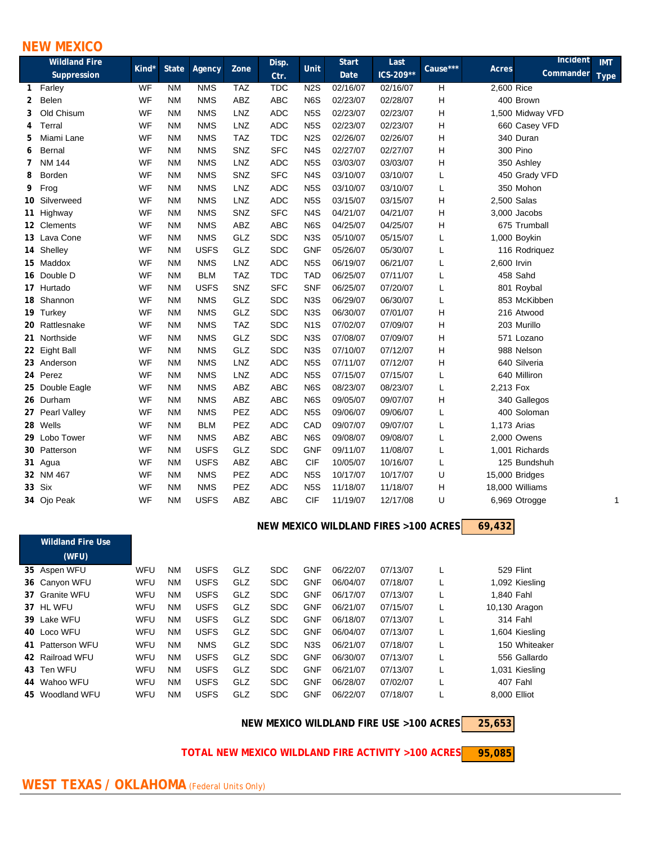## **NEW MEXICO**

| <b>Wildland Fire</b> |                 |           |              |             |            | Disp.      |                  | <b>Start</b> | Last      |          | Incident           | <b>IMT</b>  |
|----------------------|-----------------|-----------|--------------|-------------|------------|------------|------------------|--------------|-----------|----------|--------------------|-------------|
|                      | Suppression     | Kind*     | <b>State</b> | Agency      | Zone       | Ctr.       | Unit             | Date         | ICS-209** | Cause*** | Acres<br>Commander | <b>Type</b> |
| $\mathbf{1}$         | Farley          | <b>WF</b> | <b>NM</b>    | <b>NMS</b>  | <b>TAZ</b> | <b>TDC</b> | N <sub>2</sub> S | 02/16/07     | 02/16/07  | H        | 2,600 Rice         |             |
| 2                    | Belen           | WF        | <b>NM</b>    | <b>NMS</b>  | <b>ABZ</b> | <b>ABC</b> | N <sub>6</sub> S | 02/23/07     | 02/28/07  | Н        | 400 Brown          |             |
| 3                    | Old Chisum      | WF        | <b>NM</b>    | <b>NMS</b>  | LNZ        | <b>ADC</b> | N <sub>5</sub> S | 02/23/07     | 02/23/07  | Η        | 1,500 Midway VFD   |             |
| 4                    | Terral          | WF        | <b>NM</b>    | <b>NMS</b>  | LNZ        | <b>ADC</b> | N <sub>5</sub> S | 02/23/07     | 02/23/07  | н        | 660 Casey VFD      |             |
| 5                    | Miami Lane      | WF        | <b>NM</b>    | <b>NMS</b>  | <b>TAZ</b> | <b>TDC</b> | N <sub>2</sub> S | 02/26/07     | 02/26/07  | Н        | 340 Duran          |             |
| 6                    | Bernal          | WF        | <b>NM</b>    | <b>NMS</b>  | SNZ        | <b>SFC</b> | N <sub>4</sub> S | 02/27/07     | 02/27/07  | Н        | 300 Pino           |             |
| 7                    | <b>NM 144</b>   | WF        | <b>NM</b>    | <b>NMS</b>  | <b>LNZ</b> | <b>ADC</b> | N <sub>5</sub> S | 03/03/07     | 03/03/07  | н        | 350 Ashley         |             |
| 8                    | Borden          | WF        | <b>NM</b>    | <b>NMS</b>  | SNZ        | <b>SFC</b> | N <sub>4</sub> S | 03/10/07     | 03/10/07  | L        | 450 Grady VFD      |             |
| 9                    | Frog            | WF        | <b>NM</b>    | <b>NMS</b>  | <b>LNZ</b> | <b>ADC</b> | N <sub>5</sub> S | 03/10/07     | 03/10/07  | L        | 350 Mohon          |             |
|                      | 10 Silverweed   | WF        | <b>NM</b>    | <b>NMS</b>  | LNZ        | <b>ADC</b> | N <sub>5</sub> S | 03/15/07     | 03/15/07  | Η        | 2,500 Salas        |             |
|                      | 11 Highway      | WF        | <b>NM</b>    | <b>NMS</b>  | SNZ        | <b>SFC</b> | N <sub>4</sub> S | 04/21/07     | 04/21/07  | Η        | 3,000 Jacobs       |             |
|                      | 12 Clements     | WF        | <b>NM</b>    | <b>NMS</b>  | <b>ABZ</b> | <b>ABC</b> | N <sub>6</sub> S | 04/25/07     | 04/25/07  | Н        | 675 Trumball       |             |
|                      | 13 Lava Cone    | WF        | <b>NM</b>    | <b>NMS</b>  | GLZ        | <b>SDC</b> | N <sub>3</sub> S | 05/10/07     | 05/15/07  | L        | 1,000 Boykin       |             |
|                      | 14 Shelley      | WF        | <b>NM</b>    | <b>USFS</b> | GLZ        | <b>SDC</b> | <b>GNF</b>       | 05/26/07     | 05/30/07  | L        | 116 Rodriquez      |             |
|                      | 15 Maddox       | WF        | <b>NM</b>    | <b>NMS</b>  | LNZ        | <b>ADC</b> | N <sub>5</sub> S | 06/19/07     | 06/21/07  | L        | 2,600 Irvin        |             |
|                      | 16 Double D     | WF        | <b>NM</b>    | <b>BLM</b>  | <b>TAZ</b> | <b>TDC</b> | <b>TAD</b>       | 06/25/07     | 07/11/07  | L        | 458 Sahd           |             |
|                      | 17 Hurtado      | WF        | <b>NM</b>    | <b>USFS</b> | SNZ        | <b>SFC</b> | <b>SNF</b>       | 06/25/07     | 07/20/07  | L        | 801 Roybal         |             |
|                      | 18 Shannon      | WF        | <b>NM</b>    | <b>NMS</b>  | GLZ        | <b>SDC</b> | N <sub>3</sub> S | 06/29/07     | 06/30/07  | L        | 853 McKibben       |             |
|                      | 19 Turkey       | WF        | <b>NM</b>    | <b>NMS</b>  | GLZ        | <b>SDC</b> | N <sub>3</sub> S | 06/30/07     | 07/01/07  | Η        | 216 Atwood         |             |
|                      | 20 Rattlesnake  | WF        | <b>NM</b>    | <b>NMS</b>  | <b>TAZ</b> | <b>SDC</b> | N <sub>1</sub> S | 07/02/07     | 07/09/07  | Н        | 203 Murillo        |             |
|                      | 21 Northside    | WF        | <b>NM</b>    | <b>NMS</b>  | GLZ        | <b>SDC</b> | N <sub>3</sub> S | 07/08/07     | 07/09/07  | Н        | 571 Lozano         |             |
|                      | 22 Eight Ball   | WF        | <b>NM</b>    | <b>NMS</b>  | GLZ        | <b>SDC</b> | N <sub>3</sub> S | 07/10/07     | 07/12/07  | Н        | 988 Nelson         |             |
|                      | 23 Anderson     | WF        | <b>NM</b>    | <b>NMS</b>  | LNZ        | <b>ADC</b> | N <sub>5</sub> S | 07/11/07     | 07/12/07  | Н        | 640 Silveria       |             |
|                      | 24 Perez        | WF        | <b>NM</b>    | <b>NMS</b>  | LNZ        | <b>ADC</b> | N <sub>5</sub> S | 07/15/07     | 07/15/07  | L        | 640 Milliron       |             |
|                      | 25 Double Eagle | WF        | <b>NM</b>    | <b>NMS</b>  | ABZ        | <b>ABC</b> | N6S              | 08/23/07     | 08/23/07  | L        | 2,213 Fox          |             |
|                      | 26 Durham       | WF        | <b>NM</b>    | <b>NMS</b>  | ABZ        | <b>ABC</b> | N6S              | 09/05/07     | 09/07/07  | Η        | 340 Gallegos       |             |
|                      | 27 Pearl Valley | WF        | <b>NM</b>    | <b>NMS</b>  | PEZ        | <b>ADC</b> | N <sub>5</sub> S | 09/06/07     | 09/06/07  | L        | 400 Soloman        |             |
|                      | 28 Wells        | WF        | <b>NM</b>    | <b>BLM</b>  | PEZ        | <b>ADC</b> | CAD              | 09/07/07     | 09/07/07  | L        | 1,173 Arias        |             |
|                      | 29 Lobo Tower   | WF        | <b>NM</b>    | <b>NMS</b>  | ABZ        | <b>ABC</b> | N <sub>6</sub> S | 09/08/07     | 09/08/07  | L        | 2,000 Owens        |             |
|                      | 30 Patterson    | WF        | <b>NM</b>    | <b>USFS</b> | GLZ        | <b>SDC</b> | <b>GNF</b>       | 09/11/07     | 11/08/07  | L        | 1,001 Richards     |             |
|                      | 31 Agua         | WF        | <b>NM</b>    | <b>USFS</b> | ABZ        | <b>ABC</b> | <b>CIF</b>       | 10/05/07     | 10/16/07  | L        | 125 Bundshuh       |             |
|                      | 32 NM 467       | WF        | <b>NM</b>    | <b>NMS</b>  | PEZ        | <b>ADC</b> | N <sub>5</sub> S | 10/17/07     | 10/17/07  | U        | 15,000 Bridges     |             |
|                      | 33 Six          | WF        | <b>NM</b>    | <b>NMS</b>  | PEZ        | <b>ADC</b> | N <sub>5</sub> S | 11/18/07     | 11/18/07  | н        | 18,000 Williams    |             |
|                      | 34 Ojo Peak     | WF        | <b>NM</b>    | <b>USFS</b> | ABZ        | <b>ABC</b> | <b>CIF</b>       | 11/19/07     | 12/17/08  | U        | 6,969 Otrogge      |             |
|                      |                 |           |              |             |            |            |                  |              |           |          |                    |             |

#### **69,432 NEW MEXICO WILDLAND FIRES >100 ACRES**

| <b>Wildland Fire Use</b> |     |           |             |     |            |                  |          |          |                |
|--------------------------|-----|-----------|-------------|-----|------------|------------------|----------|----------|----------------|
| (WFU)                    |     |           |             |     |            |                  |          |          |                |
| 35 Aspen WFU             | WFU | NM.       | <b>USFS</b> | GLZ | <b>SDC</b> | <b>GNF</b>       | 06/22/07 | 07/13/07 | 529 Flint      |
| 36 Canyon WFU            | WFU | NM        | <b>USFS</b> | GLZ | <b>SDC</b> | <b>GNF</b>       | 06/04/07 | 07/18/07 | 1,092 Kiesling |
| 37 Granite WFU           | WFU | NM        | <b>USFS</b> | GLZ | <b>SDC</b> | <b>GNF</b>       | 06/17/07 | 07/13/07 | 1.840 Fahl     |
| 37 HL WFU                | WFU | NM        | <b>USFS</b> | GLZ | <b>SDC</b> | <b>GNF</b>       | 06/21/07 | 07/15/07 | 10,130 Aragon  |
| 39 Lake WFU              | WFU | NM        | <b>USFS</b> | GLZ | <b>SDC</b> | <b>GNF</b>       | 06/18/07 | 07/13/07 | 314 Fahl       |
| 40 Loco WFU              | WFU | NM        | <b>USFS</b> | GLZ | <b>SDC</b> | <b>GNF</b>       | 06/04/07 | 07/13/07 | 1,604 Kiesling |
| 41 Patterson WFU         | WFU | <b>NM</b> | <b>NMS</b>  | GLZ | <b>SDC</b> | N <sub>3</sub> S | 06/21/07 | 07/18/07 | 150 Whiteaker  |
| 42 Railroad WFU          | WFU | <b>NM</b> | <b>USFS</b> | GLZ | <b>SDC</b> | <b>GNF</b>       | 06/30/07 | 07/13/07 | 556 Gallardo   |
| 43 Ten WFU               | WFU | NM        | <b>USFS</b> | GLZ | <b>SDC</b> | <b>GNF</b>       | 06/21/07 | 07/13/07 | 1,031 Kiesling |
| 44 Wahoo WFU             | WFU | NM        | <b>USFS</b> | GLZ | <b>SDC</b> | <b>GNF</b>       | 06/28/07 | 07/02/07 | 407 Fahl       |
| 45 Woodland WFU          | WFU | <b>NM</b> | <b>USFS</b> | GLZ | <b>SDC</b> | <b>GNF</b>       | 06/22/07 | 07/18/07 | 8.000 Elliot   |

**25,653 NEW MEXICO WILDLAND FIRE USE >100 ACRES**

 **TOTAL NEW MEXICO WILDLAND FIRE ACTIVITY >100 ACRES**

**95,085**